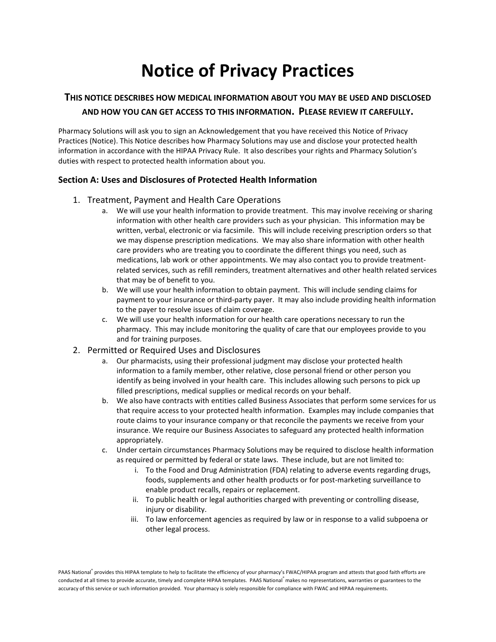# **Notice of Privacy Practices**

# **THIS NOTICE DESCRIBES HOW MEDICAL INFORMATION ABOUT YOU MAY BE USED AND DISCLOSED AND HOW YOU CAN GET ACCESS TO THIS INFORMATION. PLEASE REVIEW IT CAREFULLY.**

Pharmacy Solutions will ask you to sign an Acknowledgement that you have received this Notice of Privacy Practices (Notice). This Notice describes how Pharmacy Solutions may use and disclose your protected health information in accordance with the HIPAA Privacy Rule. It also describes your rights and Pharmacy Solution's duties with respect to protected health information about you.

## **Section A: Uses and Disclosures of Protected Health Information**

- 1. Treatment, Payment and Health Care Operations
	- a. We will use your health information to provide treatment. This may involve receiving or sharing information with other health care providers such as your physician. This information may be written, verbal, electronic or via facsimile. This will include receiving prescription orders so that we may dispense prescription medications. We may also share information with other health care providers who are treating you to coordinate the different things you need, such as medications, lab work or other appointments. We may also contact you to provide treatmentrelated services, such as refill reminders, treatment alternatives and other health related services that may be of benefit to you.
	- b. We will use your health information to obtain payment. This will include sending claims for payment to your insurance or third-party payer. It may also include providing health information to the payer to resolve issues of claim coverage.
	- c. We will use your health information for our health care operations necessary to run the pharmacy. This may include monitoring the quality of care that our employees provide to you and for training purposes.
- 2. Permitted or Required Uses and Disclosures
	- a. Our pharmacists, using their professional judgment may disclose your protected health information to a family member, other relative, close personal friend or other person you identify as being involved in your health care. This includes allowing such persons to pick up filled prescriptions, medical supplies or medical records on your behalf.
	- b. We also have contracts with entities called Business Associates that perform some services for us that require access to your protected health information. Examples may include companies that route claims to your insurance company or that reconcile the payments we receive from your insurance. We require our Business Associates to safeguard any protected health information appropriately.
	- c. Under certain circumstances Pharmacy Solutions may be required to disclose health information as required or permitted by federal or state laws. These include, but are not limited to:
		- i. To the Food and Drug Administration (FDA) relating to adverse events regarding drugs, foods, supplements and other health products or for post-marketing surveillance to enable product recalls, repairs or replacement.
		- ii. To public health or legal authorities charged with preventing or controlling disease, injury or disability.
		- iii. To law enforcement agencies as required by law or in response to a valid subpoena or other legal process.

PAAS National® provides this HIPAA template to help to facilitate the efficiency of your pharmacy's FWAC/HIPAA program and attests that good faith efforts are conducted at all times to provide accurate, timely and complete HIPAA templates. PAAS National<sup>®</sup> makes no representations, warranties or guarantees to the accuracy of this service or such information provided. Your pharmacy is solely responsible for compliance with FWAC and HIPAA requirements.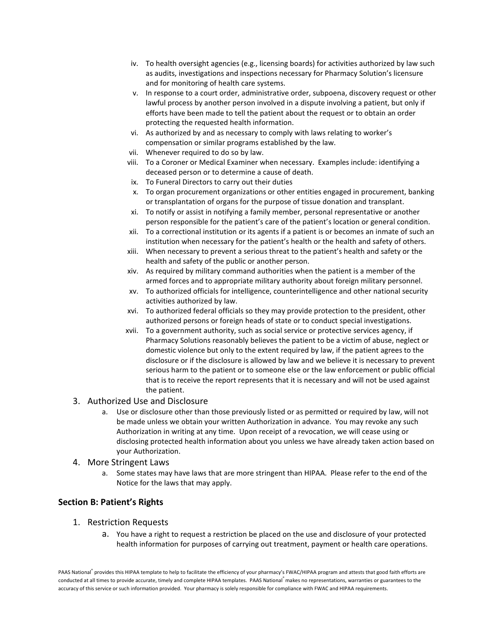- iv. To health oversight agencies (e.g., licensing boards) for activities authorized by law such as audits, investigations and inspections necessary for Pharmacy Solution's licensure and for monitoring of health care systems.
- v. In response to a court order, administrative order, subpoena, discovery request or other lawful process by another person involved in a dispute involving a patient, but only if efforts have been made to tell the patient about the request or to obtain an order protecting the requested health information.
- vi. As authorized by and as necessary to comply with laws relating to worker's compensation or similar programs established by the law.
- vii. Whenever required to do so by law.
- viii. To a Coroner or Medical Examiner when necessary. Examples include: identifying a deceased person or to determine a cause of death.
- ix. To Funeral Directors to carry out their duties
- x. To organ procurement organizations or other entities engaged in procurement, banking or transplantation of organs for the purpose of tissue donation and transplant.
- xi. To notify or assist in notifying a family member, personal representative or another person responsible for the patient's care of the patient's location or general condition.
- xii. To a correctional institution or its agents if a patient is or becomes an inmate of such an institution when necessary for the patient's health or the health and safety of others.
- xiii. When necessary to prevent a serious threat to the patient's health and safety or the health and safety of the public or another person.
- xiv. As required by military command authorities when the patient is a member of the armed forces and to appropriate military authority about foreign military personnel.
- xv. To authorized officials for intelligence, counterintelligence and other national security activities authorized by law.
- xvi. To authorized federal officials so they may provide protection to the president, other authorized persons or foreign heads of state or to conduct special investigations.
- xvii. To a government authority, such as social service or protective services agency, if Pharmacy Solutions reasonably believes the patient to be a victim of abuse, neglect or domestic violence but only to the extent required by law, if the patient agrees to the disclosure or if the disclosure is allowed by law and we believe it is necessary to prevent serious harm to the patient or to someone else or the law enforcement or public official that is to receive the report represents that it is necessary and will not be used against the patient.
- 3. Authorized Use and Disclosure
	- a. Use or disclosure other than those previously listed or as permitted or required by law, will not be made unless we obtain your written Authorization in advance. You may revoke any such Authorization in writing at any time. Upon receipt of a revocation, we will cease using or disclosing protected health information about you unless we have already taken action based on your Authorization.

### 4. More Stringent Laws

a. Some states may have laws that are more stringent than HIPAA. Please refer to the end of the Notice for the laws that may apply.

## **Section B: Patient's Rights**

- 1. Restriction Requests
	- a. You have a right to request a restriction be placed on the use and disclosure of your protected health information for purposes of carrying out treatment, payment or health care operations.

PAAS National® provides this HIPAA template to help to facilitate the efficiency of your pharmacy's FWAC/HIPAA program and attests that good faith efforts are conducted at all times to provide accurate, timely and complete HIPAA templates. PAAS National® makes no representations, warranties or guarantees to the accuracy of this service or such information provided. Your pharmacy is solely responsible for compliance with FWAC and HIPAA requirements.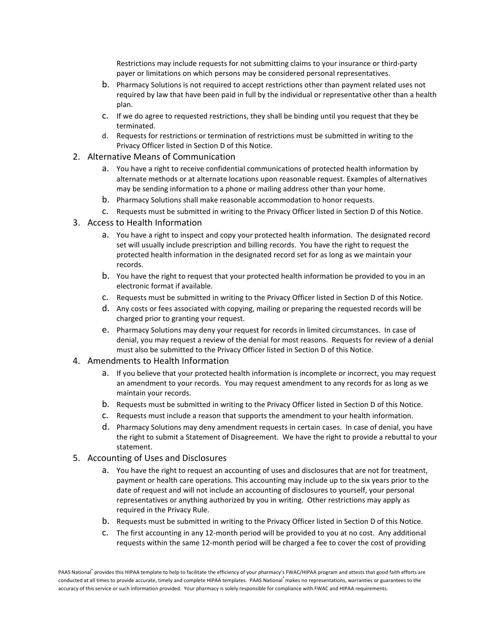Restrictions may include requests for not submitting claims to your insurance or third-party payer or limitations on which persons may be considered personal representatives.

- b. Pharmacy Solutions is not required to accept restrictions other than payment related uses not required by law that have been paid in full by the individual or representative other than a health plan.
- c. If we do agree to requested restrictions, they shall be binding until you request that they be terminated.
- d. Requests for restrictions or termination of restrictions must be submitted in writing to the Privacy Officer listed in Section D of this Notice.
- 2. Alternative Means of Communication
	- a. You have a right to receive confidential communications of protected health information by alternate methods or at alternate locations upon reasonable request. Examples of alternatives may be sending information to a phone or mailing address other than your home.
	- b. Pharmacy Solutions shall make reasonable accommodation to honor requests.
	- c. Requests must be submitted in writing to the Privacy Officer listed in Section D of this Notice.
- 3. Access to Health Information
	- a. You have a right to inspect and copy your protected health information. The designated record set will usually include prescription and billing records. You have the right to request the protected health information in the designated record set for as long as we maintain your records.
	- b. You have the right to request that your protected health information be provided to you in an electronic format if available.
	- c. Requests must be submitted in writing to the Privacy Officer listed in Section D of this Notice.
	- d. Any costs or fees associated with copying, mailing or preparing the requested records will be charged prior to granting your request.
	- e. Pharmacy Solutions may deny your request for records in limited circumstances. In case of denial, you may request a review of the denial for most reasons. Requests for review of a denial must also be submitted to the Privacy Officer listed in Section D of this Notice.
- 4. Amendments to Health Information
	- a. If you believe that your protected health information is incomplete or incorrect, you may request an amendment to your records. You may request amendment to any records for as long as we maintain your records.
	- b. Requests must be submitted in writing to the Privacy Officer listed in Section D of this Notice.
	- c. Requests must include a reason that supports the amendment to your health information.
	- d. Pharmacy Solutions may deny amendment requests in certain cases. In case of denial, you have the right to submit a Statement of Disagreement. We have the right to provide a rebuttal to your statement.
- 5. Accounting of Uses and Disclosures
	- a. You have the right to request an accounting of uses and disclosures that are not for treatment, payment or health care operations. This accounting may include up to the six years prior to the date of request and will not include an accounting of disclosures to yourself, your personal representatives or anything authorized by you in writing. Other restrictions may apply as required in the Privacy Rule.
	- b. Requests must be submitted in writing to the Privacy Officer listed in Section D of this Notice.
	- c. The first accounting in any 12-month period will be provided to you at no cost. Any additional requests within the same 12-month period will be charged a fee to cover the cost of providing

PAAS National® provides this HIPAA template to help to facilitate the efficiency of your pharmacy's FWAC/HIPAA program and attests that good faith efforts are conducted at all times to provide accurate, timely and complete HIPAA templates. PAAS National® makes no representations, warranties or guarantees to the accuracy of this service or such information provided. Your pharmacy is solely responsible for compliance with FWAC and HIPAA requirements.